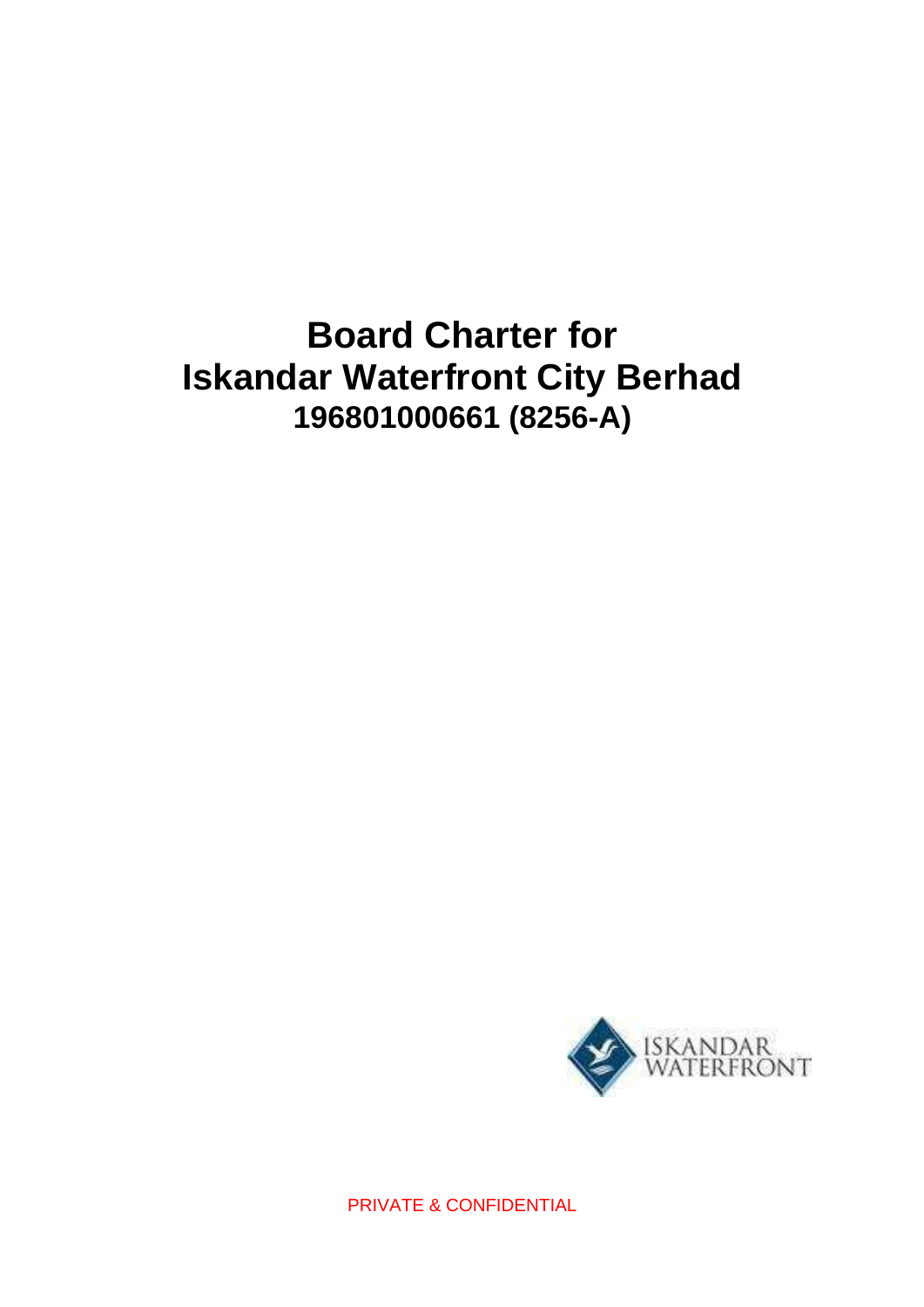# **Board Charter for Iskandar Waterfront City Berhad 196801000661 (8256-A)**



PRIVATE & CONFIDENTIAL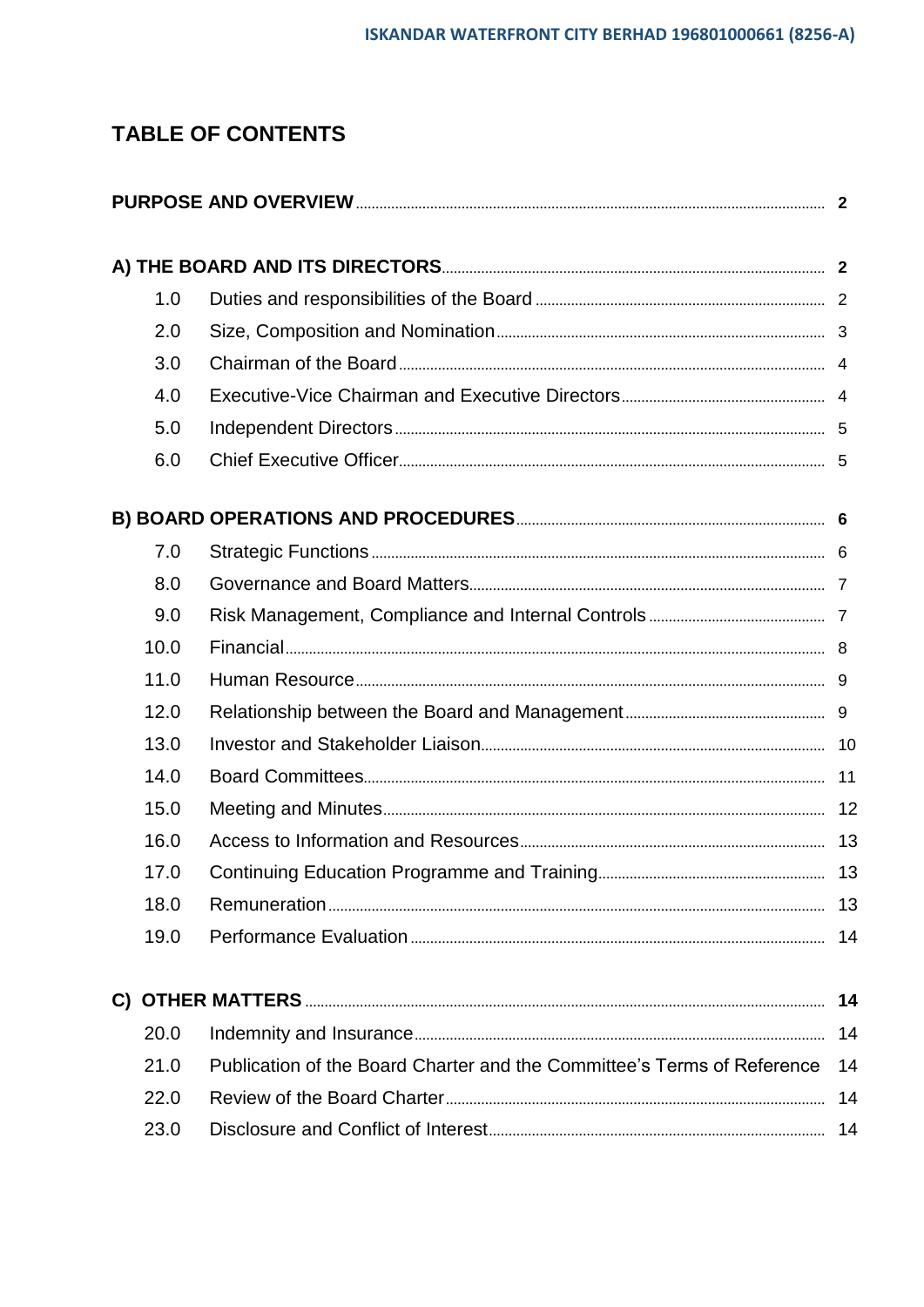## **TABLE OF CONTENTS**

| 1.0  |                                                                         |    |
|------|-------------------------------------------------------------------------|----|
| 2.0  |                                                                         |    |
| 3.0  |                                                                         |    |
| 4.0  |                                                                         |    |
| 5.0  |                                                                         |    |
| 6.0  |                                                                         |    |
|      |                                                                         |    |
| 7.0  |                                                                         |    |
| 8.0  |                                                                         |    |
| 9.0  |                                                                         |    |
| 10.0 |                                                                         |    |
| 11.0 |                                                                         |    |
| 12.0 |                                                                         |    |
| 13.0 |                                                                         |    |
| 14.0 |                                                                         |    |
| 15.0 |                                                                         |    |
| 16.0 |                                                                         |    |
| 17.0 |                                                                         |    |
| 18.0 |                                                                         | 13 |
| 19.0 |                                                                         | 14 |
|      |                                                                         | 14 |
| 20.0 |                                                                         | 14 |
| 21.0 | Publication of the Board Charter and the Committee's Terms of Reference | 14 |
| 22.0 |                                                                         | 14 |
| 23.0 |                                                                         | 14 |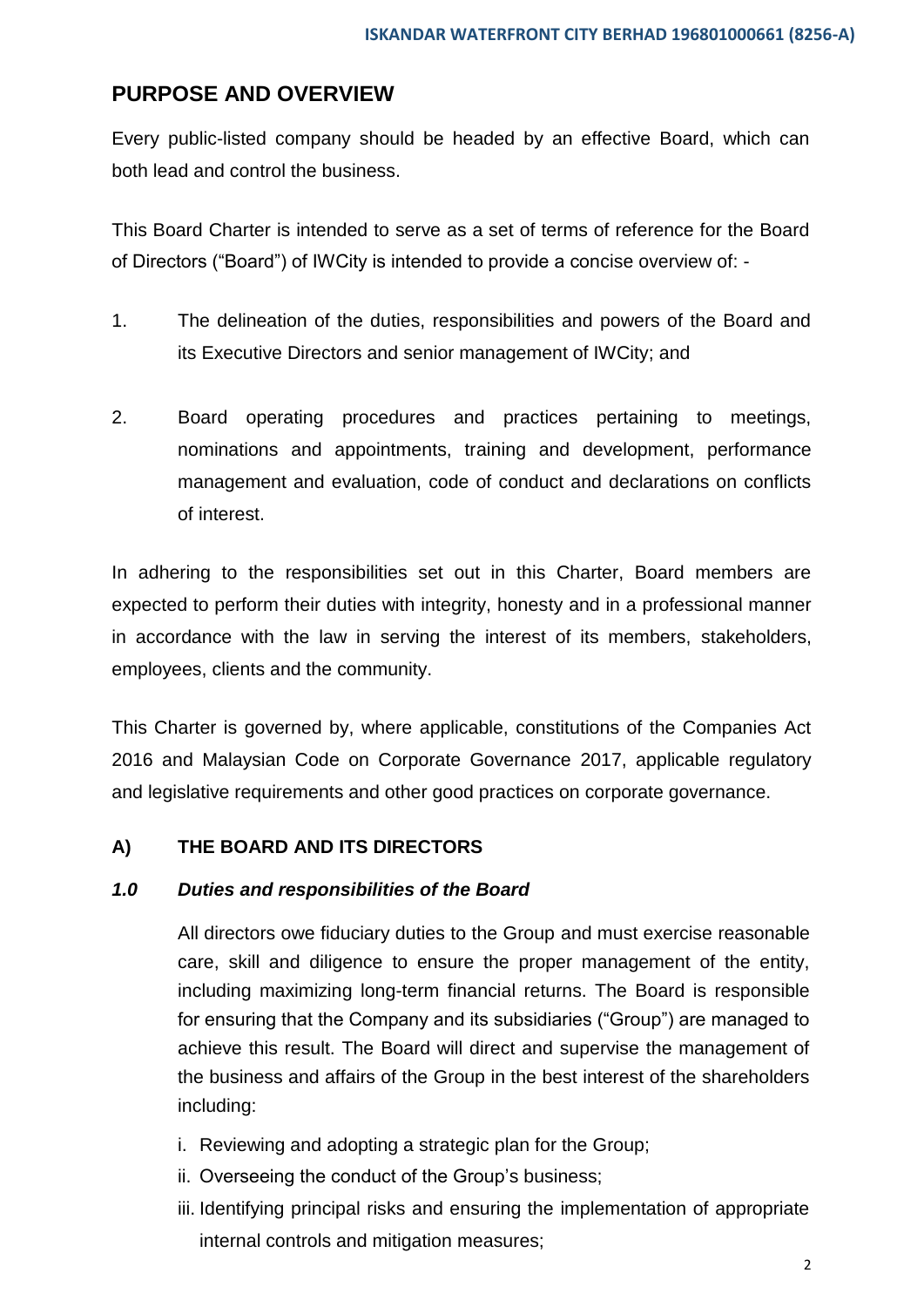### **PURPOSE AND OVERVIEW**

Every public-listed company should be headed by an effective Board, which can both lead and control the business.

This Board Charter is intended to serve as a set of terms of reference for the Board of Directors ("Board") of IWCity is intended to provide a concise overview of: -

- 1. The delineation of the duties, responsibilities and powers of the Board and its Executive Directors and senior management of IWCity; and
- 2. Board operating procedures and practices pertaining to meetings, nominations and appointments, training and development, performance management and evaluation, code of conduct and declarations on conflicts of interest.

In adhering to the responsibilities set out in this Charter, Board members are expected to perform their duties with integrity, honesty and in a professional manner in accordance with the law in serving the interest of its members, stakeholders, employees, clients and the community.

This Charter is governed by, where applicable, constitutions of the Companies Act 2016 and Malaysian Code on Corporate Governance 2017, applicable regulatory and legislative requirements and other good practices on corporate governance.

#### **A) THE BOARD AND ITS DIRECTORS**

#### *1.0 Duties and responsibilities of the Board*

All directors owe fiduciary duties to the Group and must exercise reasonable care, skill and diligence to ensure the proper management of the entity, including maximizing long-term financial returns. The Board is responsible for ensuring that the Company and its subsidiaries ("Group") are managed to achieve this result. The Board will direct and supervise the management of the business and affairs of the Group in the best interest of the shareholders including:

- i. Reviewing and adopting a strategic plan for the Group;
- ii. Overseeing the conduct of the Group's business;
- iii. Identifying principal risks and ensuring the implementation of appropriate internal controls and mitigation measures;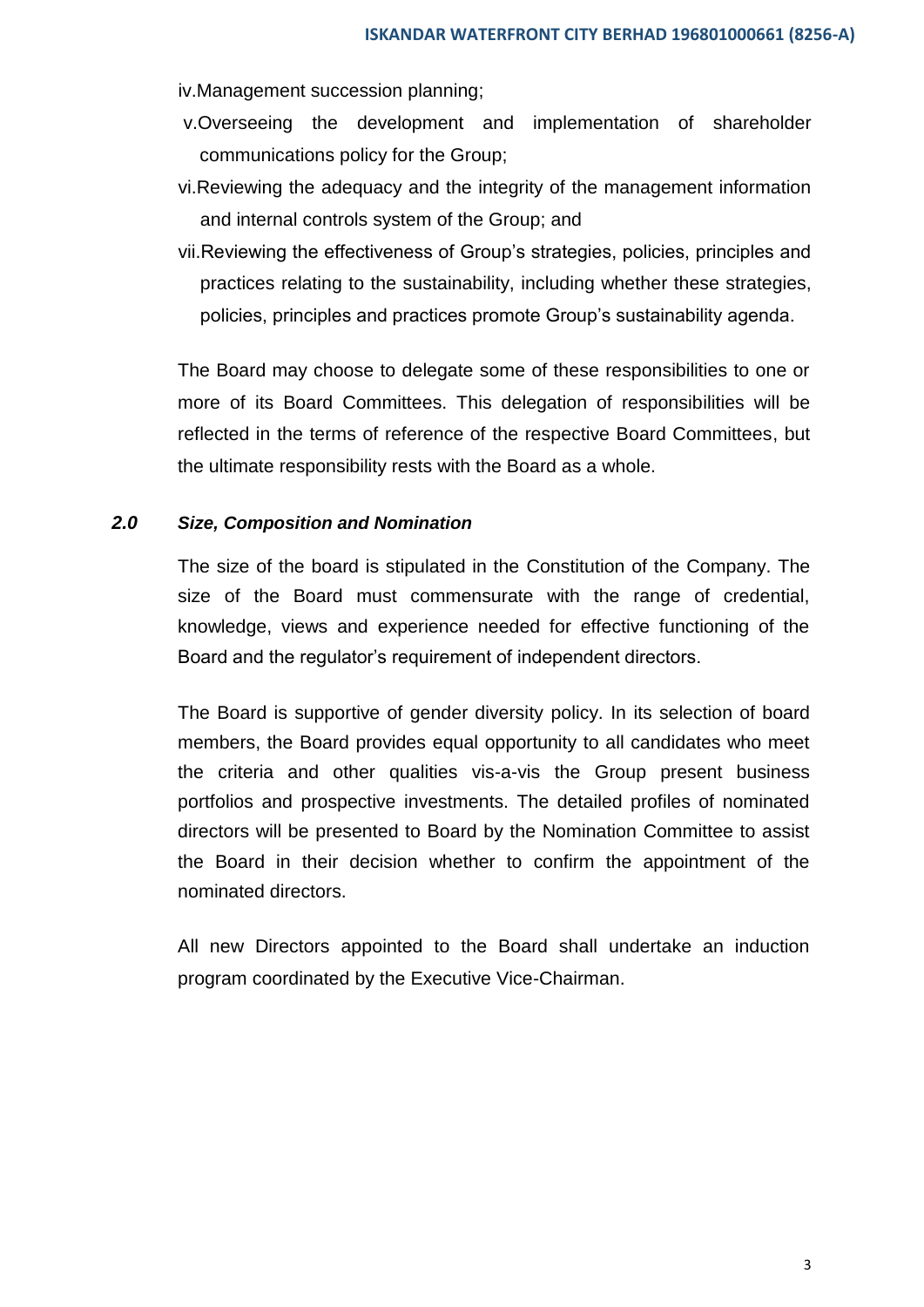iv.Management succession planning;

- v.Overseeing the development and implementation of shareholder communications policy for the Group;
- vi.Reviewing the adequacy and the integrity of the management information and internal controls system of the Group; and
- vii.Reviewing the effectiveness of Group's strategies, policies, principles and practices relating to the sustainability, including whether these strategies, policies, principles and practices promote Group's sustainability agenda.

The Board may choose to delegate some of these responsibilities to one or more of its Board Committees. This delegation of responsibilities will be reflected in the terms of reference of the respective Board Committees, but the ultimate responsibility rests with the Board as a whole.

#### *2.0 Size, Composition and Nomination*

The size of the board is stipulated in the Constitution of the Company. The size of the Board must commensurate with the range of credential, knowledge, views and experience needed for effective functioning of the Board and the regulator's requirement of independent directors.

The Board is supportive of gender diversity policy. In its selection of board members, the Board provides equal opportunity to all candidates who meet the criteria and other qualities vis-a-vis the Group present business portfolios and prospective investments. The detailed profiles of nominated directors will be presented to Board by the Nomination Committee to assist the Board in their decision whether to confirm the appointment of the nominated directors.

All new Directors appointed to the Board shall undertake an induction program coordinated by the Executive Vice-Chairman.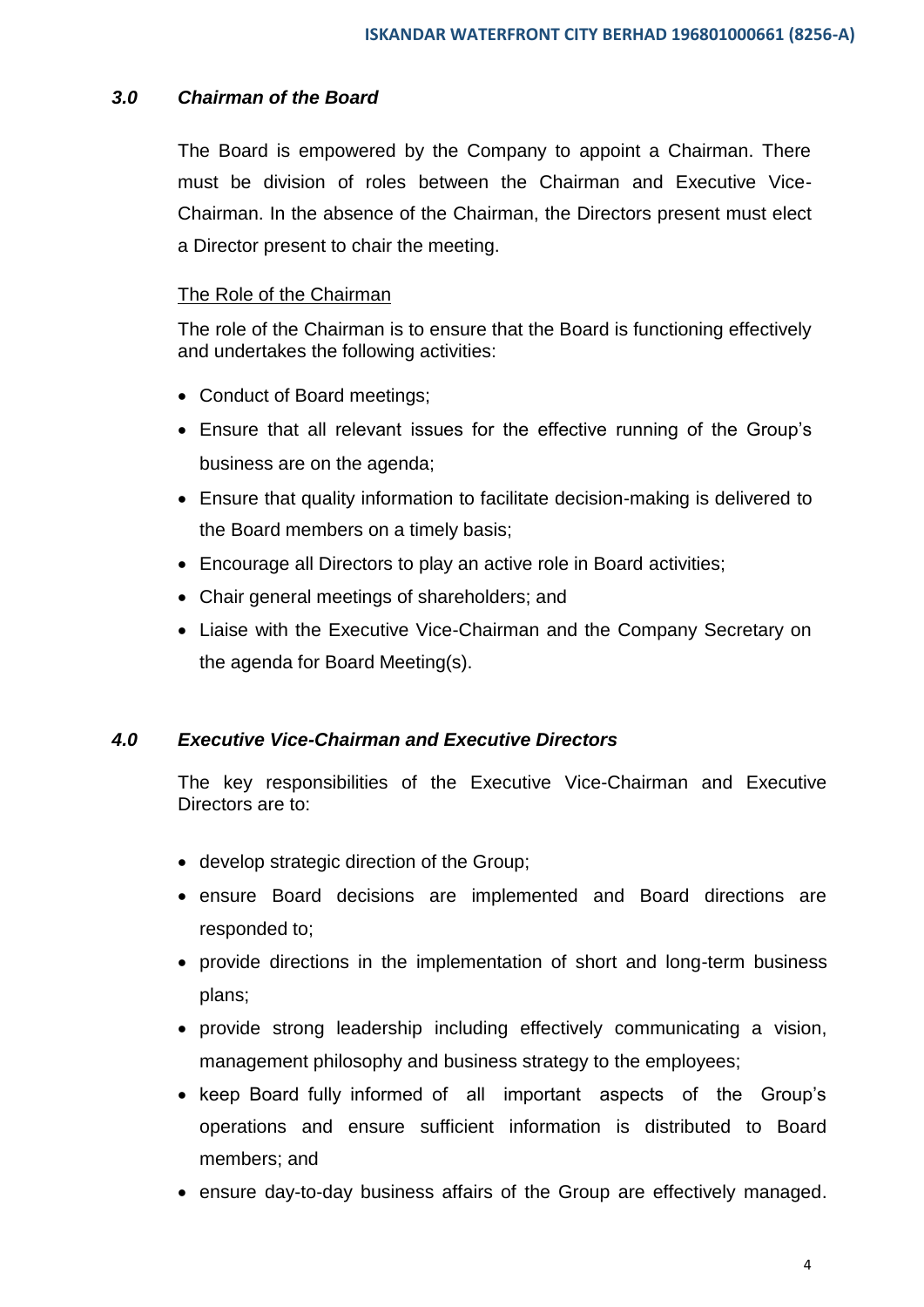#### *3.0 Chairman of the Board*

The Board is empowered by the Company to appoint a Chairman. There must be division of roles between the Chairman and Executive Vice-Chairman. In the absence of the Chairman, the Directors present must elect a Director present to chair the meeting.

#### The Role of the Chairman

The role of the Chairman is to ensure that the Board is functioning effectively and undertakes the following activities:

- Conduct of Board meetings;
- Ensure that all relevant issues for the effective running of the Group's business are on the agenda;
- Ensure that quality information to facilitate decision-making is delivered to the Board members on a timely basis;
- Encourage all Directors to play an active role in Board activities;
- Chair general meetings of shareholders; and
- Liaise with the Executive Vice-Chairman and the Company Secretary on the agenda for Board Meeting(s).

#### *4.0 Executive Vice-Chairman and Executive Directors*

The key responsibilities of the Executive Vice-Chairman and Executive Directors are to:

- develop strategic direction of the Group;
- ensure Board decisions are implemented and Board directions are responded to;
- provide directions in the implementation of short and long-term business plans;
- provide strong leadership including effectively communicating a vision, management philosophy and business strategy to the employees;
- keep Board fully informed of all important aspects of the Group's operations and ensure sufficient information is distributed to Board members; and
- ensure day-to-day business affairs of the Group are effectively managed.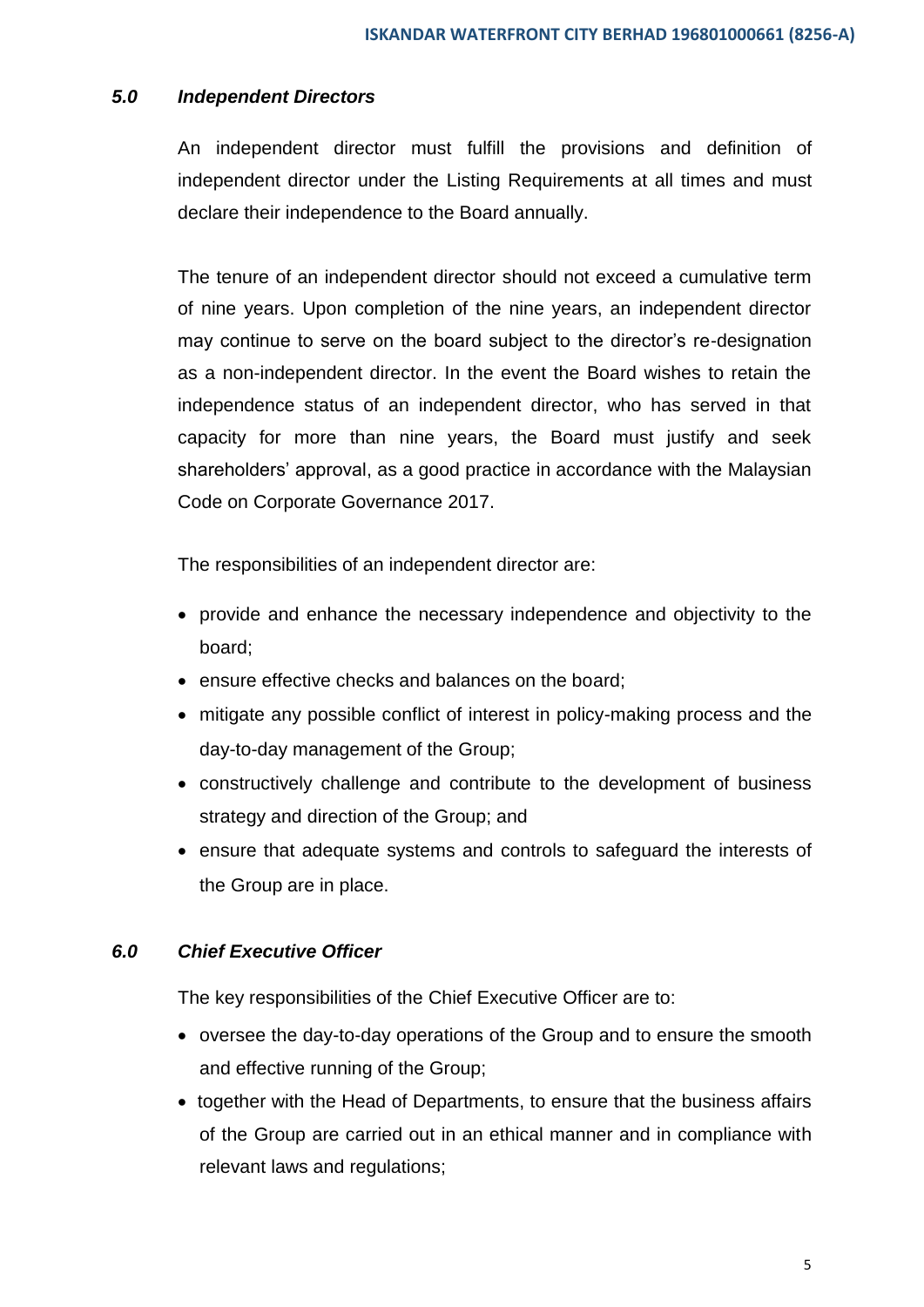#### *5.0 Independent Directors*

An independent director must fulfill the provisions and definition of independent director under the Listing Requirements at all times and must declare their independence to the Board annually.

The tenure of an independent director should not exceed a cumulative term of nine years. Upon completion of the nine years, an independent director may continue to serve on the board subject to the director's re-designation as a non-independent director. In the event the Board wishes to retain the independence status of an independent director, who has served in that capacity for more than nine years, the Board must justify and seek shareholders' approval, as a good practice in accordance with the Malaysian Code on Corporate Governance 2017.

The responsibilities of an independent director are:

- provide and enhance the necessary independence and objectivity to the board;
- ensure effective checks and balances on the board;
- mitigate any possible conflict of interest in policy-making process and the day-to-day management of the Group;
- constructively challenge and contribute to the development of business strategy and direction of the Group; and
- ensure that adequate systems and controls to safeguard the interests of the Group are in place.

#### *6.0 Chief Executive Officer*

The key responsibilities of the Chief Executive Officer are to:

- oversee the day-to-day operations of the Group and to ensure the smooth and effective running of the Group;
- together with the Head of Departments, to ensure that the business affairs of the Group are carried out in an ethical manner and in compliance with relevant laws and regulations;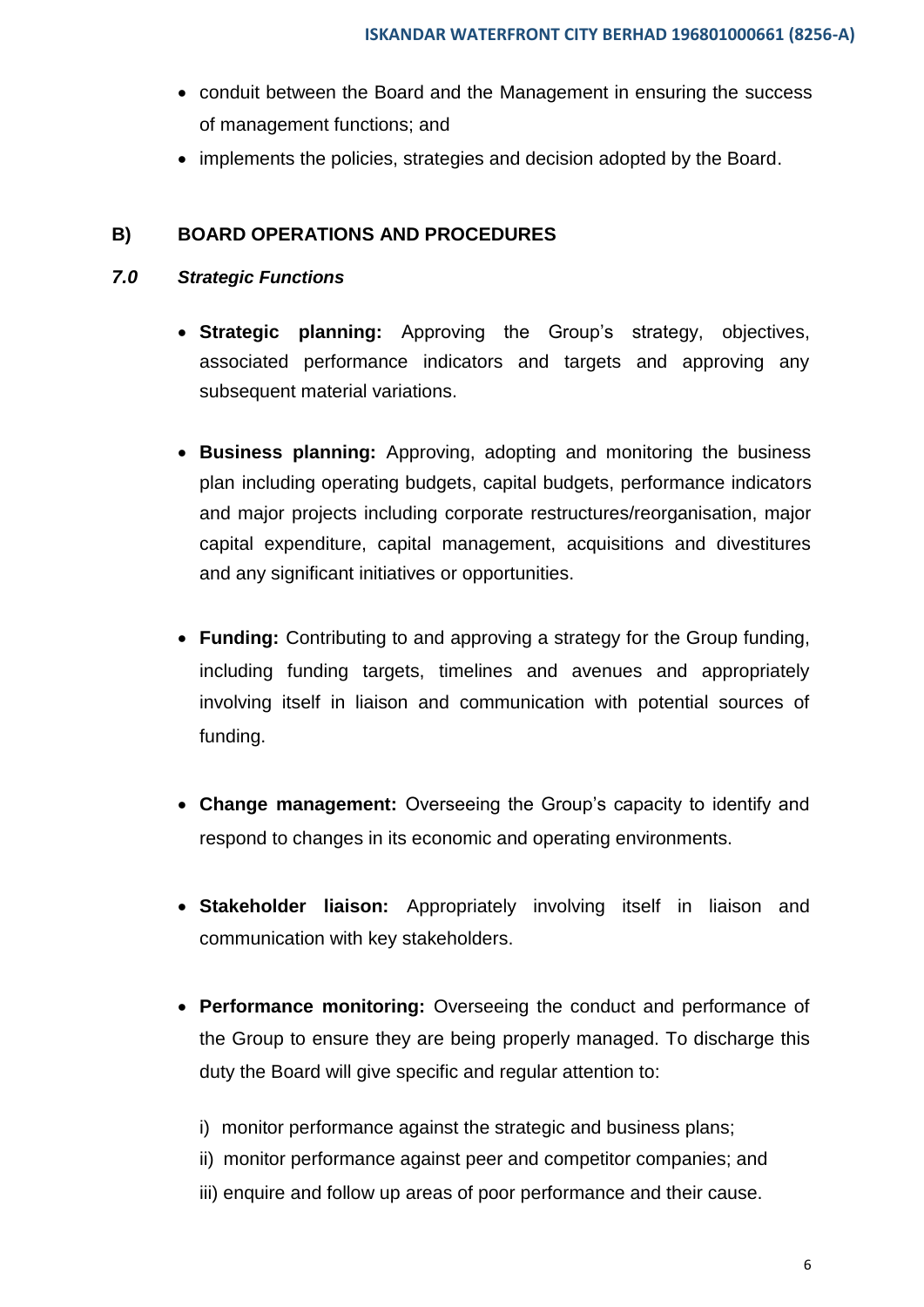- conduit between the Board and the Management in ensuring the success of management functions; and
- implements the policies, strategies and decision adopted by the Board.

#### **B) BOARD OPERATIONS AND PROCEDURES**

#### *7.0 Strategic Functions*

- **Strategic planning:** Approving the Group's strategy, objectives, associated performance indicators and targets and approving any subsequent material variations.
- **Business planning:** Approving, adopting and monitoring the business plan including operating budgets, capital budgets, performance indicators and major projects including corporate restructures/reorganisation, major capital expenditure, capital management, acquisitions and divestitures and any significant initiatives or opportunities.
- **Funding:** Contributing to and approving a strategy for the Group funding, including funding targets, timelines and avenues and appropriately involving itself in liaison and communication with potential sources of funding.
- **Change management:** Overseeing the Group's capacity to identify and respond to changes in its economic and operating environments.
- **Stakeholder liaison:** Appropriately involving itself in liaison and communication with key stakeholders.
- **Performance monitoring:** Overseeing the conduct and performance of the Group to ensure they are being properly managed. To discharge this duty the Board will give specific and regular attention to:
	- i) monitor performance against the strategic and business plans;
	- ii) monitor performance against peer and competitor companies; and
	- iii) enquire and follow up areas of poor performance and their cause.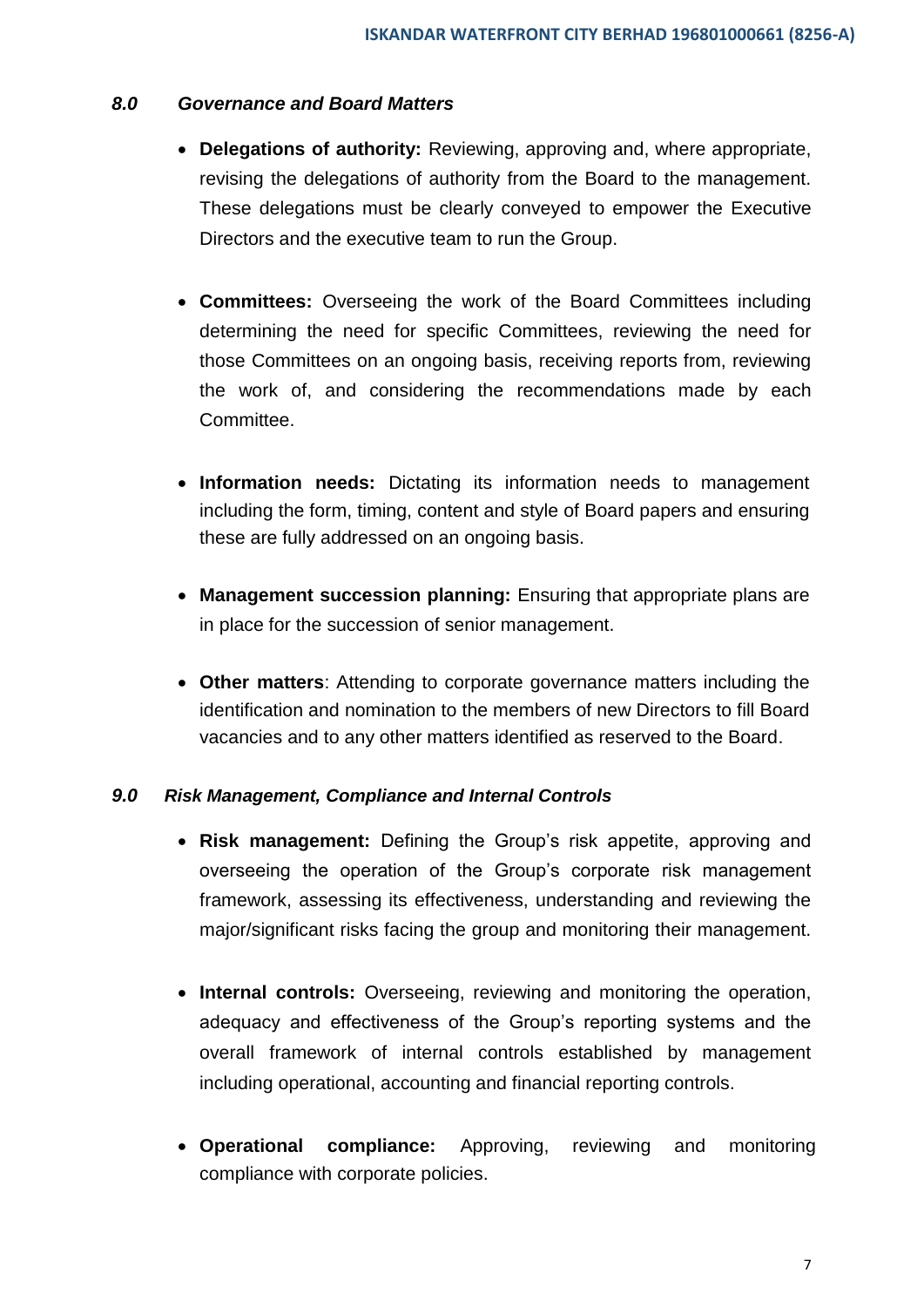#### *8.0 Governance and Board Matters*

- **Delegations of authority:** Reviewing, approving and, where appropriate, revising the delegations of authority from the Board to the management. These delegations must be clearly conveyed to empower the Executive Directors and the executive team to run the Group.
- **Committees:** Overseeing the work of the Board Committees including determining the need for specific Committees, reviewing the need for those Committees on an ongoing basis, receiving reports from, reviewing the work of, and considering the recommendations made by each Committee.
- **Information needs:** Dictating its information needs to management including the form, timing, content and style of Board papers and ensuring these are fully addressed on an ongoing basis.
- **Management succession planning:** Ensuring that appropriate plans are in place for the succession of senior management.
- **Other matters**: Attending to corporate governance matters including the identification and nomination to the members of new Directors to fill Board vacancies and to any other matters identified as reserved to the Board.

#### *9.0 Risk Management, Compliance and Internal Controls*

- **Risk management:** Defining the Group's risk appetite, approving and overseeing the operation of the Group's corporate risk management framework, assessing its effectiveness, understanding and reviewing the major/significant risks facing the group and monitoring their management.
- **Internal controls:** Overseeing, reviewing and monitoring the operation, adequacy and effectiveness of the Group's reporting systems and the overall framework of internal controls established by management including operational, accounting and financial reporting controls.
- **Operational compliance:** Approving, reviewing and monitoring compliance with corporate policies.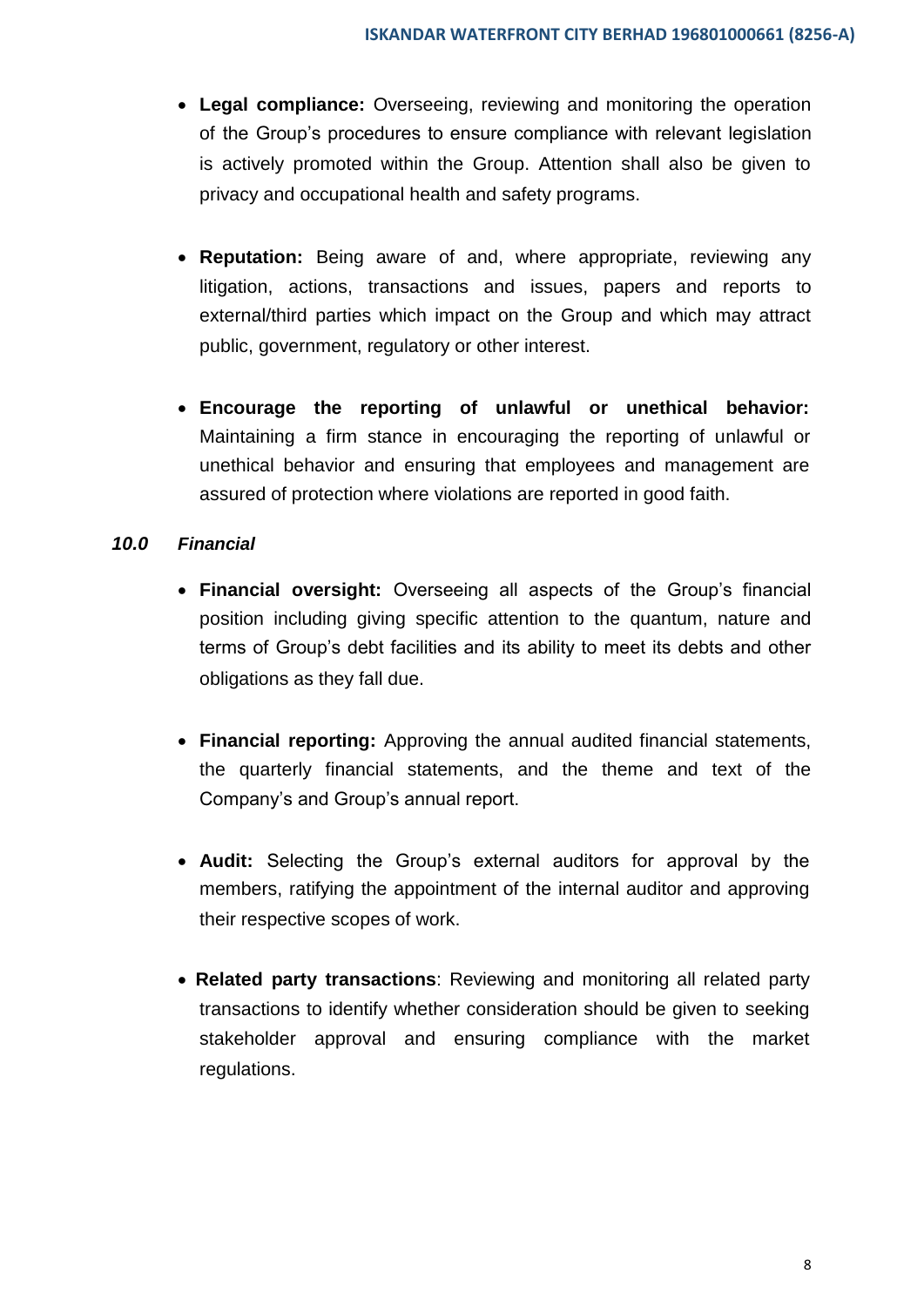- **Legal compliance:** Overseeing, reviewing and monitoring the operation of the Group's procedures to ensure compliance with relevant legislation is actively promoted within the Group. Attention shall also be given to privacy and occupational health and safety programs.
- **Reputation:** Being aware of and, where appropriate, reviewing any litigation, actions, transactions and issues, papers and reports to external/third parties which impact on the Group and which may attract public, government, regulatory or other interest.
- **Encourage the reporting of unlawful or unethical behavior:**  Maintaining a firm stance in encouraging the reporting of unlawful or unethical behavior and ensuring that employees and management are assured of protection where violations are reported in good faith.

#### *10.0 Financial*

- **Financial oversight:** Overseeing all aspects of the Group's financial position including giving specific attention to the quantum, nature and terms of Group's debt facilities and its ability to meet its debts and other obligations as they fall due.
- **Financial reporting:** Approving the annual audited financial statements, the quarterly financial statements, and the theme and text of the Company's and Group's annual report.
- **Audit:** Selecting the Group's external auditors for approval by the members, ratifying the appointment of the internal auditor and approving their respective scopes of work.
- **Related party transactions**: Reviewing and monitoring all related party transactions to identify whether consideration should be given to seeking stakeholder approval and ensuring compliance with the market regulations.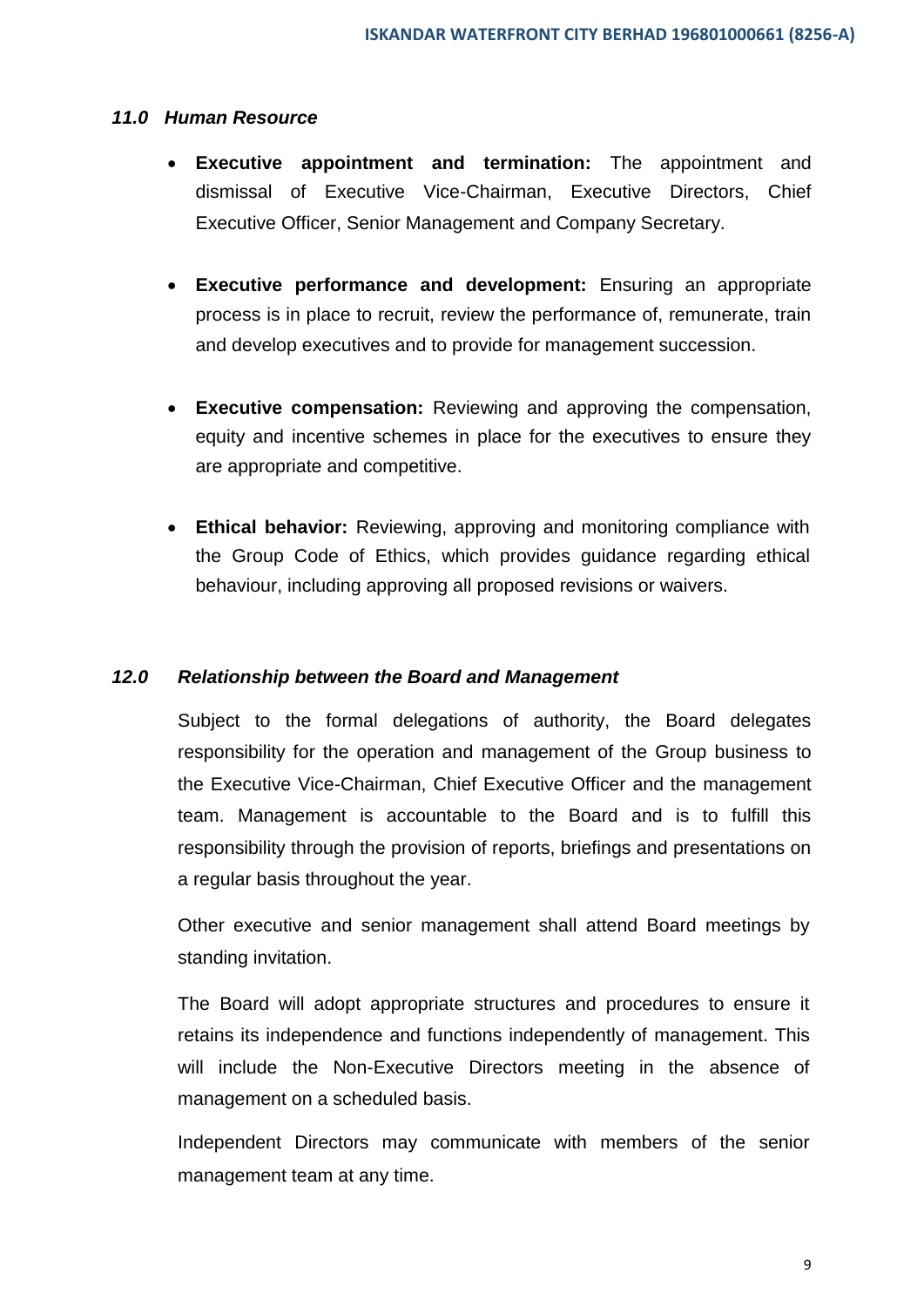#### *11.0 Human Resource*

- **Executive appointment and termination:** The appointment and dismissal of Executive Vice-Chairman, Executive Directors, Chief Executive Officer, Senior Management and Company Secretary.
- **Executive performance and development:** Ensuring an appropriate process is in place to recruit, review the performance of, remunerate, train and develop executives and to provide for management succession.
- **Executive compensation:** Reviewing and approving the compensation, equity and incentive schemes in place for the executives to ensure they are appropriate and competitive.
- **Ethical behavior:** Reviewing, approving and monitoring compliance with the Group Code of Ethics, which provides guidance regarding ethical behaviour, including approving all proposed revisions or waivers.

#### *12.0 Relationship between the Board and Management*

Subject to the formal delegations of authority, the Board delegates responsibility for the operation and management of the Group business to the Executive Vice-Chairman, Chief Executive Officer and the management team. Management is accountable to the Board and is to fulfill this responsibility through the provision of reports, briefings and presentations on a regular basis throughout the year.

Other executive and senior management shall attend Board meetings by standing invitation.

The Board will adopt appropriate structures and procedures to ensure it retains its independence and functions independently of management. This will include the Non-Executive Directors meeting in the absence of management on a scheduled basis.

Independent Directors may communicate with members of the senior management team at any time.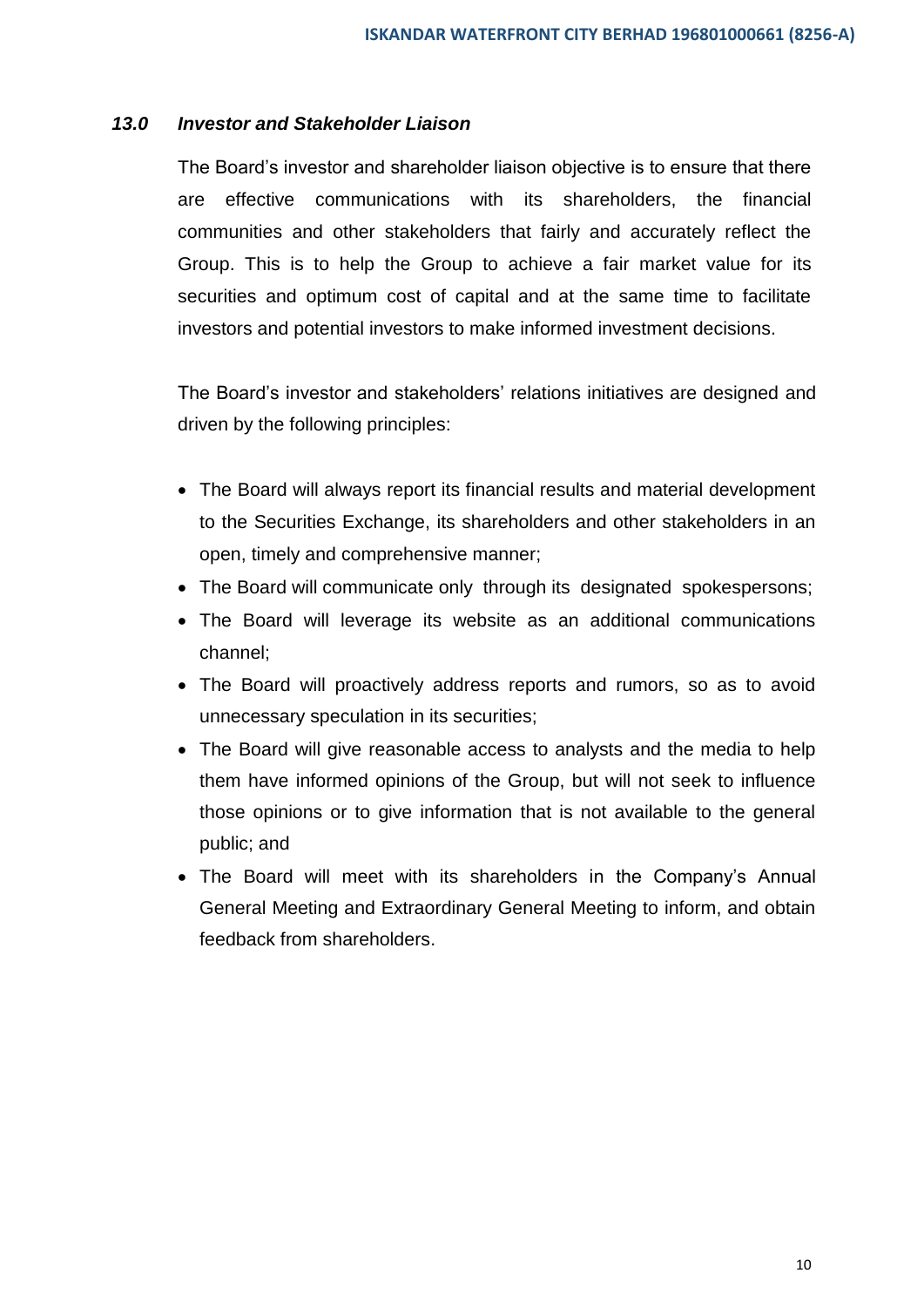#### *13.0 Investor and Stakeholder Liaison*

The Board's investor and shareholder liaison objective is to ensure that there are effective communications with its shareholders, the financial communities and other stakeholders that fairly and accurately reflect the Group. This is to help the Group to achieve a fair market value for its securities and optimum cost of capital and at the same time to facilitate investors and potential investors to make informed investment decisions.

The Board's investor and stakeholders' relations initiatives are designed and driven by the following principles:

- The Board will always report its financial results and material development to the Securities Exchange, its shareholders and other stakeholders in an open, timely and comprehensive manner;
- The Board will communicate only through its designated spokespersons;
- The Board will leverage its website as an additional communications channel;
- The Board will proactively address reports and rumors, so as to avoid unnecessary speculation in its securities;
- The Board will give reasonable access to analysts and the media to help them have informed opinions of the Group, but will not seek to influence those opinions or to give information that is not available to the general public; and
- The Board will meet with its shareholders in the Company's Annual General Meeting and Extraordinary General Meeting to inform, and obtain feedback from shareholders.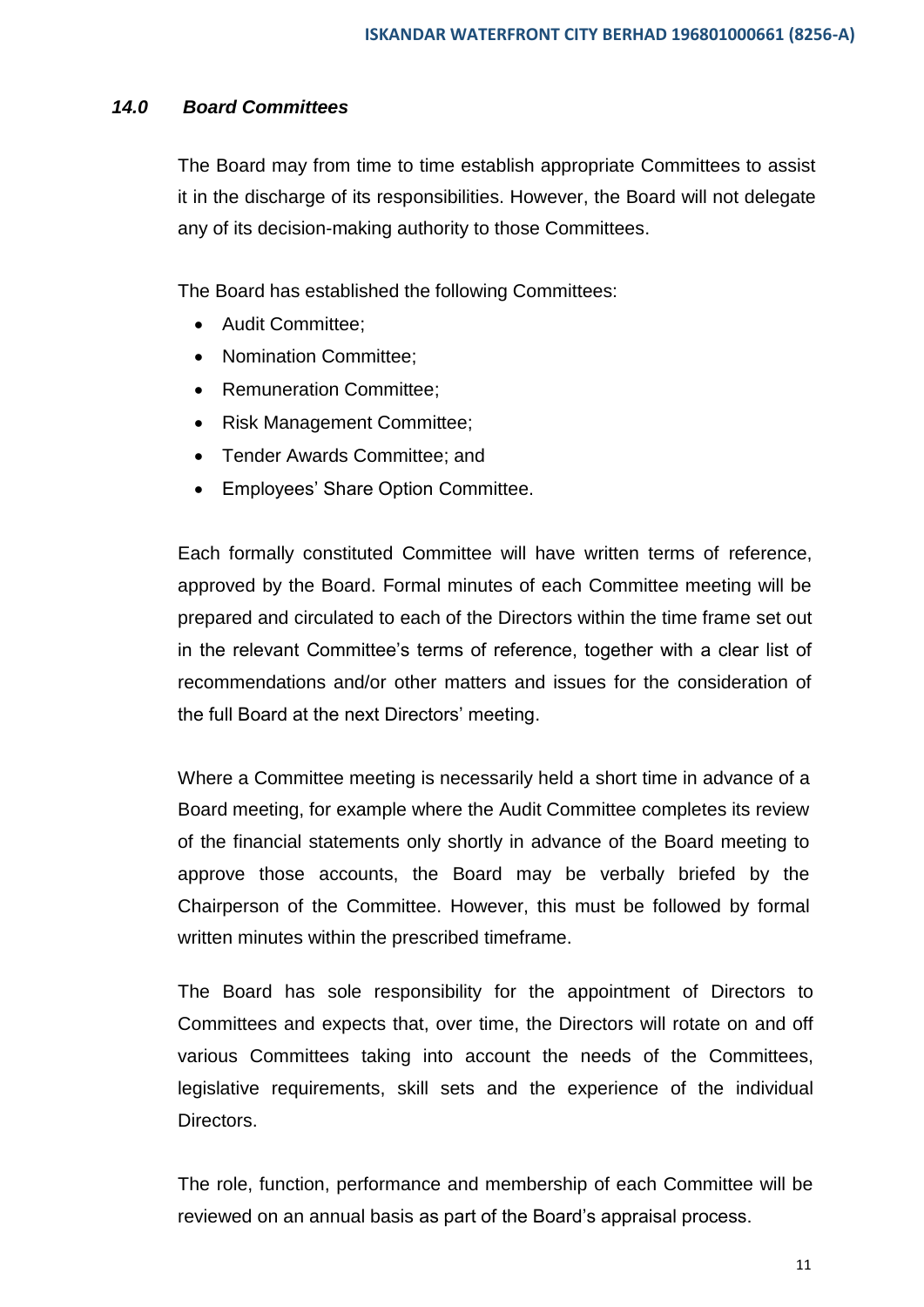#### *14.0 Board Committees*

The Board may from time to time establish appropriate Committees to assist it in the discharge of its responsibilities. However, the Board will not delegate any of its decision-making authority to those Committees.

The Board has established the following Committees:

- Audit Committee:
- Nomination Committee:
- Remuneration Committee:
- Risk Management Committee;
- Tender Awards Committee; and
- Employees' Share Option Committee.

Each formally constituted Committee will have written terms of reference, approved by the Board. Formal minutes of each Committee meeting will be prepared and circulated to each of the Directors within the time frame set out in the relevant Committee's terms of reference, together with a clear list of recommendations and/or other matters and issues for the consideration of the full Board at the next Directors' meeting.

Where a Committee meeting is necessarily held a short time in advance of a Board meeting, for example where the Audit Committee completes its review of the financial statements only shortly in advance of the Board meeting to approve those accounts, the Board may be verbally briefed by the Chairperson of the Committee. However, this must be followed by formal written minutes within the prescribed timeframe.

The Board has sole responsibility for the appointment of Directors to Committees and expects that, over time, the Directors will rotate on and off various Committees taking into account the needs of the Committees, legislative requirements, skill sets and the experience of the individual Directors.

The role, function, performance and membership of each Committee will be reviewed on an annual basis as part of the Board's appraisal process.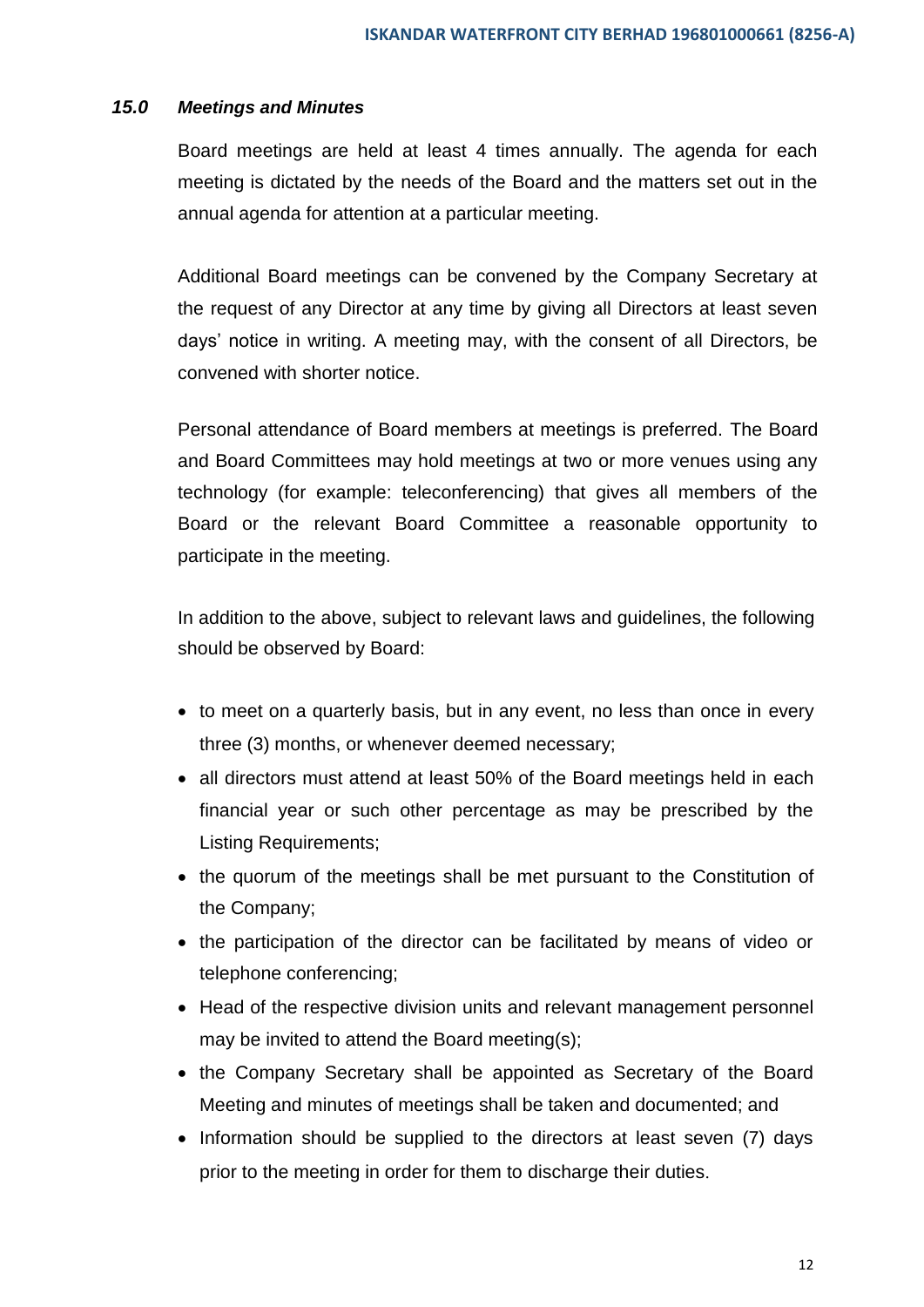#### *15.0 Meetings and Minutes*

Board meetings are held at least 4 times annually. The agenda for each meeting is dictated by the needs of the Board and the matters set out in the annual agenda for attention at a particular meeting.

Additional Board meetings can be convened by the Company Secretary at the request of any Director at any time by giving all Directors at least seven days' notice in writing. A meeting may, with the consent of all Directors, be convened with shorter notice.

Personal attendance of Board members at meetings is preferred. The Board and Board Committees may hold meetings at two or more venues using any technology (for example: teleconferencing) that gives all members of the Board or the relevant Board Committee a reasonable opportunity to participate in the meeting.

In addition to the above, subject to relevant laws and guidelines, the following should be observed by Board:

- to meet on a quarterly basis, but in any event, no less than once in every three (3) months, or whenever deemed necessary;
- all directors must attend at least 50% of the Board meetings held in each financial year or such other percentage as may be prescribed by the Listing Requirements;
- the quorum of the meetings shall be met pursuant to the Constitution of the Company;
- the participation of the director can be facilitated by means of video or telephone conferencing;
- Head of the respective division units and relevant management personnel may be invited to attend the Board meeting(s);
- the Company Secretary shall be appointed as Secretary of the Board Meeting and minutes of meetings shall be taken and documented; and
- Information should be supplied to the directors at least seven (7) days prior to the meeting in order for them to discharge their duties.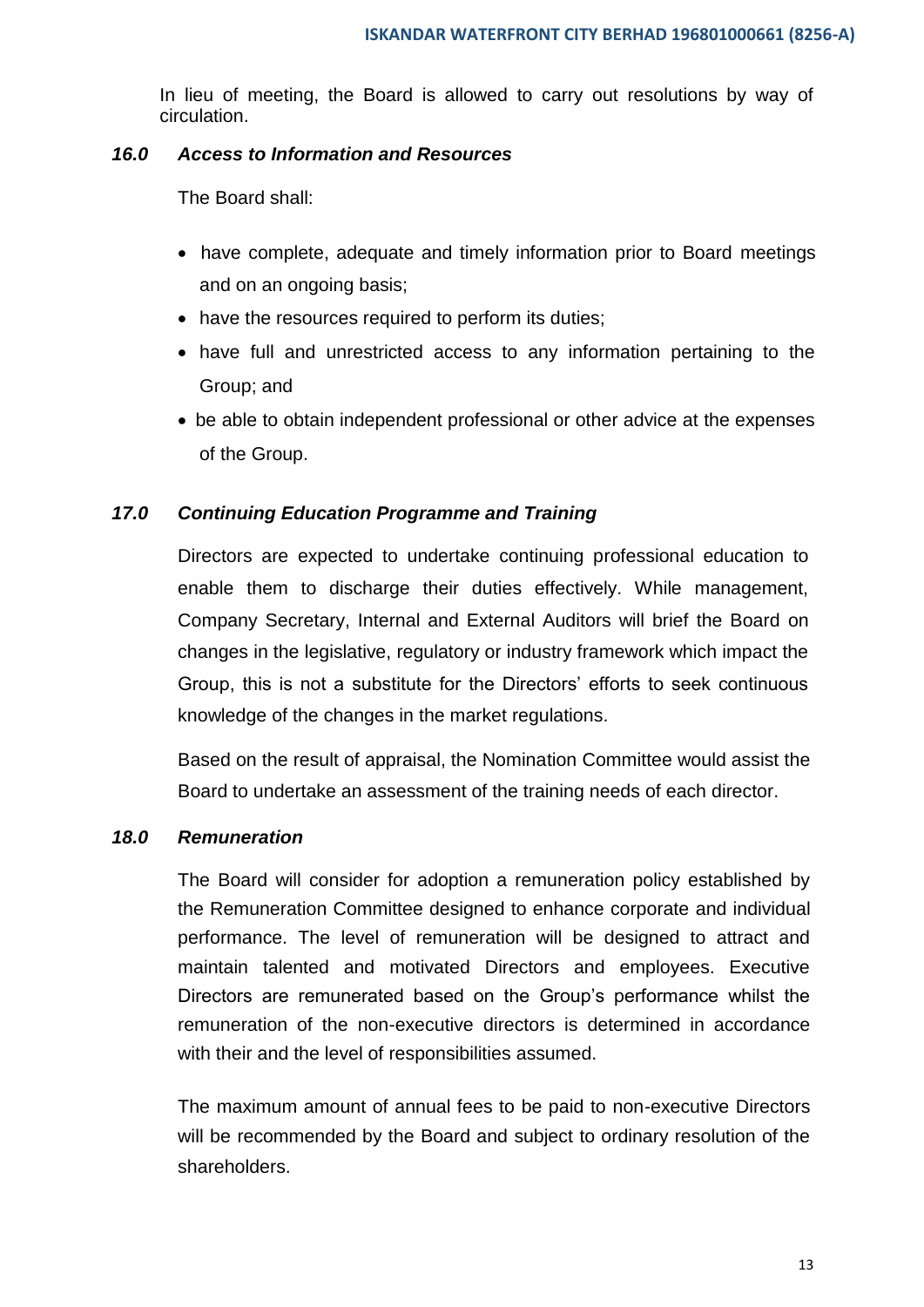In lieu of meeting, the Board is allowed to carry out resolutions by way of circulation.

#### *16.0 Access to Information and Resources*

The Board shall:

- have complete, adequate and timely information prior to Board meetings and on an ongoing basis;
- have the resources required to perform its duties;
- have full and unrestricted access to any information pertaining to the Group; and
- be able to obtain independent professional or other advice at the expenses of the Group.

#### *17.0 Continuing Education Programme and Training*

Directors are expected to undertake continuing professional education to enable them to discharge their duties effectively. While management, Company Secretary, Internal and External Auditors will brief the Board on changes in the legislative, regulatory or industry framework which impact the Group, this is not a substitute for the Directors' efforts to seek continuous knowledge of the changes in the market regulations.

Based on the result of appraisal, the Nomination Committee would assist the Board to undertake an assessment of the training needs of each director.

#### *18.0 Remuneration*

The Board will consider for adoption a remuneration policy established by the Remuneration Committee designed to enhance corporate and individual performance. The level of remuneration will be designed to attract and maintain talented and motivated Directors and employees. Executive Directors are remunerated based on the Group's performance whilst the remuneration of the non-executive directors is determined in accordance with their and the level of responsibilities assumed.

The maximum amount of annual fees to be paid to non-executive Directors will be recommended by the Board and subject to ordinary resolution of the shareholders.